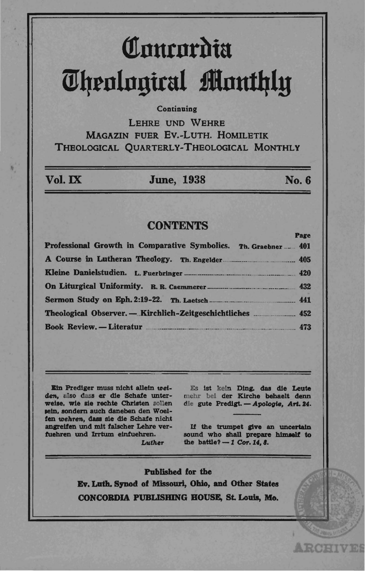# Community **Theological Monthly**

### Continuing

LEHRE UND WEHRE MAGAZIN FUER EV.-LUTH, HOMILETIK THEOLOGICAL OUARTERLY-THEOLOGICAL MONTHLY

Vol. IX

**June. 1938** 

No. 6

## **CONTENTS**

| Professional Growth in Comparative Symbolics. Th. Graebner  401 |  |
|-----------------------------------------------------------------|--|
|                                                                 |  |
|                                                                 |  |
|                                                                 |  |
|                                                                 |  |
|                                                                 |  |
| Book Review. - Literatur 473                                    |  |

Ein Prediger muss nicht allein weiden, also dass er die Schafe unterweise, wie sie rechte Christen sollen sein, sondern auch daneben den Woelfen wehren, dass sie die Schafe nicht angreifen und mit falscher Lehre verfuehren und Irrtum einfuehren. Luther

Es ist kein Ding, das die Leute mehr bei der Kirche behaelt denn die gute Predigt. - Apologie, Art. 24.

If the trumpet give an uncertain sound who shall prepare himself to the battle?  $-1$  Cor. 14, 8.

**ARCHIVES** 

**Published for the** Ev. Luth. Synod of Missouri, Ohio, and Other States CONCORDIA PUBLISHING HOUSE, St. Louis, Mo.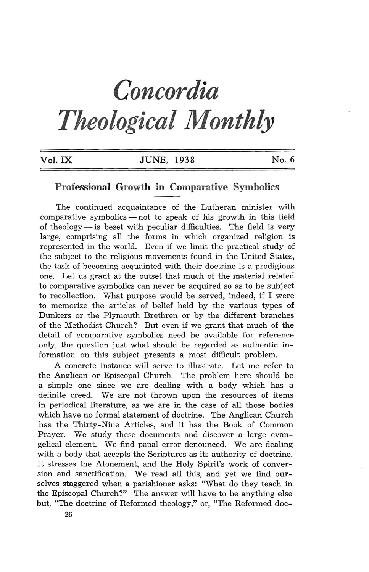# *Concordia Theological Monthly*

| Vol. IX | <b>JUNE, 1938</b> | No. 6 |
|---------|-------------------|-------|
|         |                   |       |

#### **Professional Growth in Comparative Symbolics**

The continued acquaintance of the Lutheran minister with comparative symbolics  $-$  not to speak of his growth in this field of theology  $-$  is beset with peculiar difficulties. The field is very large, comprising all the forms in which organized religion is represented in the world. Even if we limit the practical study of the subject to the religious movements found in the United States, the task of becoming acquainted with their doctrine is a prodigious one. Let us grant at the outset that much of the material related to comparative symbolics can never be acquired so as to be subject to recollection. What purpose would be served, indeed, if I were to memorize the articles of belief held by the various types of Dunkers or the Plymouth Brethren or by the different branches of the Methodist Church? But even if we grant that much of the detail of comparative symbolics need be available for reference only, the question just what should be regarded as authentic information on this subject presents a most difficult problem.

A concrete instance will serve to illustrate. Let me refer to the Anglican or Episcopal Church. The problem here should be a simple one since we are dealing with a body which has a definite creed. We are not thrown upon the resources of items in periodical literature, as we are in the case of all those bodies which have no formal statement of doctrine. The Anglican Church has the Thirty-Nine Articles, and it has the Book of Common Prayer. We study these documents and discover a large evangelical element. We find papal error denounced. We are dealing with a body that accepts the Scriptures as its authority of doctrine. It stresses the Atonement, and the Holy Spirit's work of conversion and sanctification. We read all this, and yet we find ourselves staggered when a parishioner asks: "What do they teach in the Episcopal Church?" The answer will have to be anything else but, "The doctrine of Reformed theology," or, "The Reformed doc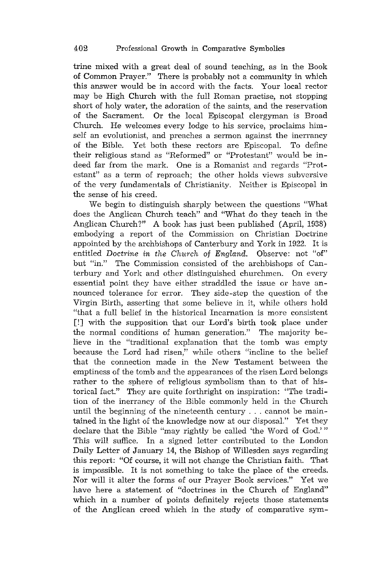trine mixed with a great deal of sound teaching, as in the Book of Common Prayer." There is probably not a community in which this answer would be in accord with the facts. Your local rector may be High Church with the full Roman practise, not stopping short of holy water, the adoration of the saints, and the reservation of the Sacrament. Or the local Episcopal clergyman is Broad Church. He welcomes every lodge to his service, proclaims himself an evolutionist, and preaches a sermon against the inerrancy of the Bible. Yet both these rectors are Episcopal. To define their religious stand as "Reformed" or "Protestant" would be indeed far from the mark. One is a Romanist and regards "Protestant" as a term of reproach; the other holds views subversive of the very fundamentals of Christianity. Neither is Episcopal in the sense of his creed.

We begin to distinguish sharply between the questions "What does the Anglican Church teach" and "What do they teach in the Anglican Church?" A book has just been published (April, 1938) embodying a report of the Commission on Christian Doctrine appointed by the archbishops of Canterbury and York in 1922. It is entitled *Doctrine in the Church* of *England.* Observe: not "of" but "in." The Commission consisted of the archbishops of Canterbury and York and other distinguished churchmen. On every essential point they have either straddled the issue or have announced tolerance for error. They side-step the question of the Virgin Birth, asserting that some believe in it, while others hold "that a full belief in the historical Incarnation is more consistent [!] with the supposition that our Lord's birth took place under the normal conditions of human generation." The majority believe in the "traditional explanation that the tomb was empty because the Lord had risen," while others "incline to the belief that the connection made in the New Testament between the emptiness of the tomb and the appearances of the risen Lord belongs rather to the sphere of religious symbolism than to that of historical fact." They are quite forthright on inspiration: "The tradition of the inerrancy of the Bible commonly held in the Church until the beginning of the nineteenth century ... cannot be maintained in the light of the knowledge now at our disposal." Yet they declare that the Bible "may rightly be called 'the Word of God.' " This will suffice. In a signed letter contributed to the London Daily Letter of January 14, the Bishop of Willesden says regarding this report: "Of course, it will not change the Christian faith. That is impossible. It is not something to take the place of the creeds. Nor will it alter the forms of our Prayer Book services." Yet we have here a statement of "doctrines in the Church of England" which in a number of points definitely rejects those statements of the Anglican creed which in the study of comparative sym-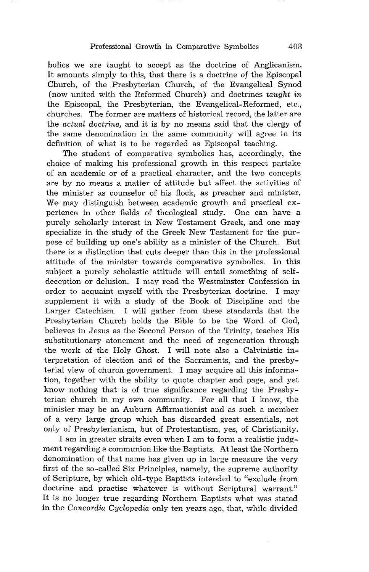bolics we are taught to accept as the doctrine of Anglicanism. It amounts simply to this, that there is a doctrine of the Episcopal Church, of the Presbyterian Church, of the Evangelical Synod (now united with the Reformed Church) and doctrines *taught in*  the Episcopal, the Presbyterian, the Evangelical-Reformed, etc., churches. The former are matters of historical record, the latter are the *actual doctrine,* and it is by no means said that the clergy of the same denomination in the same community will agree in its definition of what is to be regarded as Episcopal teaching.

The student of comparative symbolics has, accordingly, the choice of making his professional growth in this respect partake of an academic or of a practical character, and the two concepts are by no means a matter of attitude but affect the activities of the minister as counselor of his flock, as preacher and minister. We may distinguish between academic growth and practical experience in other fields of theological study. One can have a purely scholarly interest in New Testament Greek, and one may specialize in the study of the Greek New Testament for the purpose of building up one's ability as a minister of the Church. But there is a distinction that cuts deeper than this in the professional attitude of the minister towards comparative symbolics. In this subject a purely scholastic attitude will entail something of selfdeception or delusion. I may read the Westminster Confession in order to acquaint myself with the Presbyterian doctrine. I may supplement it with a study of the Book of Discipline and the Larger Catechism. I will gather from these standards that the Presbyterian Church holds the Bible to be the Word of God, believes in Jesus as the Second Person of the Trinity, teaches His substitutionary atonement and the need of regeneration through the work of the Holy Ghost. I will note also a Calvinistic interpretation of election and of the Sacraments, and the presbyterial view of church government. I may acquire all this information, together with the ability to quote chapter and page, and yet know nothing that is of true significance regarding the Presbyterian church in my own community. For all that I know, the minister may be an Auburn Affirmationist and as such a member of a very large group which has discarded great essentials, not only of Presbyterianism, but of Protestantism, yes, of Christianity.

I am in greater straits even when I am to form a realistic judgment regarding a communion like the Baptists. At least the Northern denomination of that name has given up in large measure the very first of the so-called Six Principles, namely, the supreme authority of Scripture, by which old-type Baptists intended to "exclude from doctrine and practise whatever is without Scriptural warrant." It is no longer true regarding Northern Baptists what was stated in the *Concordia Cyclopedia* only ten years ago, that, while divided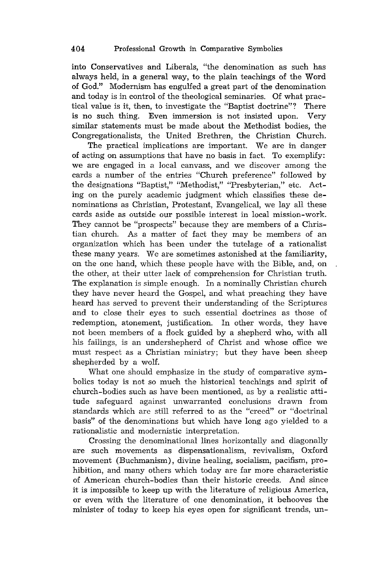into Conservatives and Liberals, "the denomination as such has always held, in a general way, to the plain teachings of the Word of God." Modernism has engulfed a great part of the denomination and today is in control of the theological seminaries. Of what practical value is it, then, to investigate the "Baptist doctrine"? There is no such thing. Even immersion is not insisted upon. Very similar statements must be made about the Methodist bodies, the Congregationalists, the United Brethren, the Christian Church.

The practical implications are important. We are in danger of acting on assumptions that have no basis in fact. To exemplify: we are engaged in a local canvass, and we discover among the cards a number of the entries "Church preference" followed by the designations "Baptist," "Methodist," "Presbyterian," etc. Acting on the purely academic judgment which classifies these denominations as Christian, Protestant, Evangelical, we lay all these cards aside as outside our possible interest in local mission-work. They cannot be "prospects" because they are members of a Christian church. As a matter of fact they may be members of an organization which has been under the tutelage of a rationalist these many years. We are sometimes astonished at the familiarity, on the one hand, which these people have with the Bible, and, on the other, at their utter lack of comprehension for Christian truth. The explanation is simple enough. In a nominally Christian church they have never heard the Gospel, and what preaching they have heard has served to prevent their understanding of the Scriptures and to close their eyes to such essential doctrines as those of redemption, atonement, justification. In other words, they have not been members of a flock guided by a shepherd who, with all his failings, is an undershepherd of Christ and whose office we must respect as a Christian ministry; but they have been sheep shepherded by a wolf.

What one should emphasize in the study of comparative symbolics today is not so much the historical teachings and spirit of church-bodies such as have been mentioned, as by a realistic attitude safeguard against unwarranted conclusions drawn from standards which are still referred to as the "creed" or "doctrinal basis" of the denominations but which have long ago yielded to a rationalistic and modernistic interpretation.

Crossing the denominational lines horizontally and diagonally are such movements as dispensationalism, revivalism, Oxford movement (Buchmanism), divine healing, socialism, pacifism, prohibition, and many others which today are far more characteristic of American church-bodies than their historic creeds. And since it is impossible to keep up with the literature of religious America, or even with the literature of one denomination, it behooves the minister of today to keep his eyes open for significant trends, un